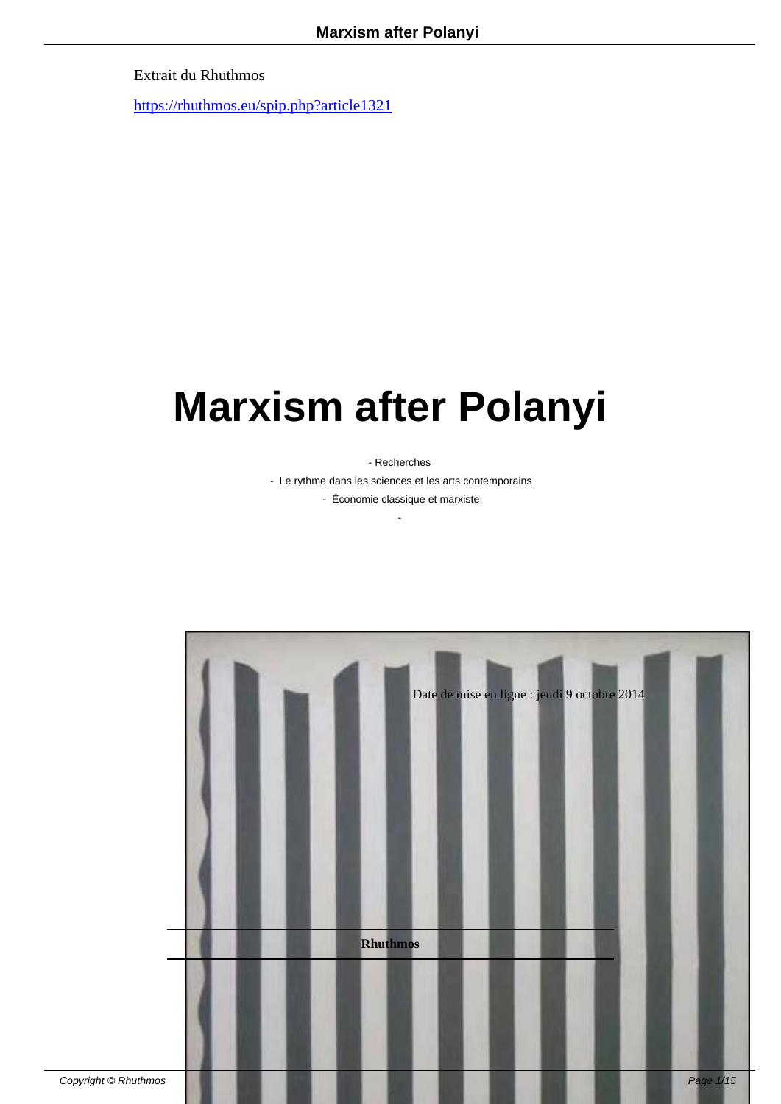Extrait du Rhuthmos

https://rhuthmos.eu/spip.php?article1321

## **Marxism after Polanyi**

- Recherches

 - Le rythme dans les sciences et les arts contemporains - Économie classique et marxiste

-

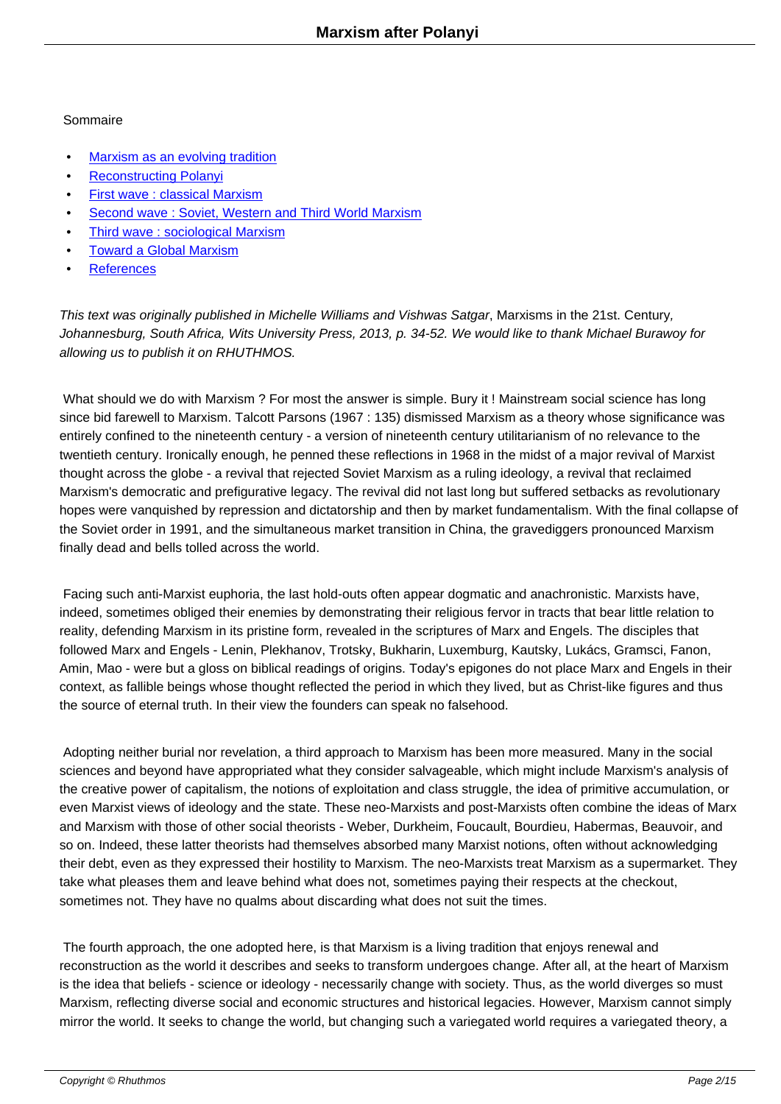#### Sommaire

- Marxism as an evolving tradition
- **Reconstructing Polanyi**
- First wave : classical Marxism
- Second wave : Soviet, Western and Third World Marxism
- **[Third wave : sociological Marxism](http://rhuthmos.eu//spip.php?page=article_pdf&id_article=1321#outil_sommaire_0)**
- [Toward a Global Marxi](http://rhuthmos.eu//spip.php?page=article_pdf&id_article=1321#outil_sommaire_1)[sm](http://rhuthmos.eu//spip.php?page=article_pdf&id_article=1321#outil_sommaire_2)
- **[References](http://rhuthmos.eu//spip.php?page=article_pdf&id_article=1321#outil_sommaire_3)**

This [text was originally publishe](http://rhuthmos.eu//spip.php?page=article_pdf&id_article=1321#outil_sommaire_5)d in Michelle Williams and Vishwas Satgar, Marxisms in the 21st. Century, Joha[nnesburg, S](http://rhuthmos.eu//spip.php?page=article_pdf&id_article=1321#outil_sommaire_6)outh Africa, Wits University Press, 2013, p. 34-52. We would like to thank Michael Burawoy for allowing us to publish it on RHUTHMOS.

 What should we do with Marxism ? For most the answer is simple. Bury it ! Mainstream social science has long since bid farewell to Marxism. Talcott Parsons (1967 : 135) dismissed Marxism as a theory whose significance was entirely confined to the nineteenth century - a version of nineteenth century utilitarianism of no relevance to the twentieth century. Ironically enough, he penned these reflections in 1968 in the midst of a major revival of Marxist thought across the globe - a revival that rejected Soviet Marxism as a ruling ideology, a revival that reclaimed Marxism's democratic and prefigurative legacy. The revival did not last long but suffered setbacks as revolutionary hopes were vanquished by repression and dictatorship and then by market fundamentalism. With the final collapse of the Soviet order in 1991, and the simultaneous market transition in China, the gravediggers pronounced Marxism finally dead and bells tolled across the world.

 Facing such anti-Marxist euphoria, the last hold-outs often appear dogmatic and anachronistic. Marxists have, indeed, sometimes obliged their enemies by demonstrating their religious fervor in tracts that bear little relation to reality, defending Marxism in its pristine form, revealed in the scriptures of Marx and Engels. The disciples that followed Marx and Engels - Lenin, Plekhanov, Trotsky, Bukharin, Luxemburg, Kautsky, Lukács, Gramsci, Fanon, Amin, Mao - were but a gloss on biblical readings of origins. Today's epigones do not place Marx and Engels in their context, as fallible beings whose thought reflected the period in which they lived, but as Christ-like figures and thus the source of eternal truth. In their view the founders can speak no falsehood.

 Adopting neither burial nor revelation, a third approach to Marxism has been more measured. Many in the social sciences and beyond have appropriated what they consider salvageable, which might include Marxism's analysis of the creative power of capitalism, the notions of exploitation and class struggle, the idea of primitive accumulation, or even Marxist views of ideology and the state. These neo-Marxists and post-Marxists often combine the ideas of Marx and Marxism with those of other social theorists - Weber, Durkheim, Foucault, Bourdieu, Habermas, Beauvoir, and so on. Indeed, these latter theorists had themselves absorbed many Marxist notions, often without acknowledging their debt, even as they expressed their hostility to Marxism. The neo-Marxists treat Marxism as a supermarket. They take what pleases them and leave behind what does not, sometimes paying their respects at the checkout, sometimes not. They have no qualms about discarding what does not suit the times.

 The fourth approach, the one adopted here, is that Marxism is a living tradition that enjoys renewal and reconstruction as the world it describes and seeks to transform undergoes change. After all, at the heart of Marxism is the idea that beliefs - science or ideology - necessarily change with society. Thus, as the world diverges so must Marxism, reflecting diverse social and economic structures and historical legacies. However, Marxism cannot simply mirror the world. It seeks to change the world, but changing such a variegated world requires a variegated theory, a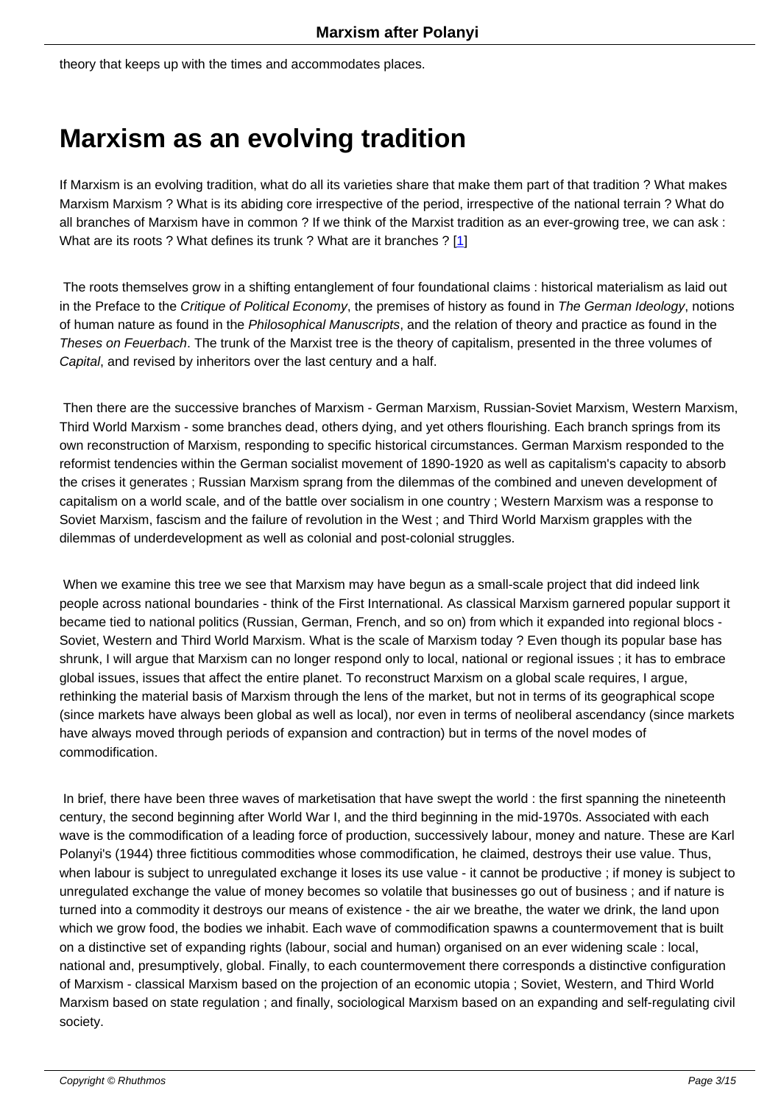## **Marxism as an evolving tradition**

If Marxism is an evolving tradition, what do all its varieties share that make them part of that tradition ? What makes Marxism Marxism ? What is its abiding core irrespective of the period, irrespective of the national terrain ? What do all branches of Marxism have in common ? If we think of the Marxist tradition as an ever-growing tree, we can ask : What are its roots ? What defines its trunk ? What are it branches ? [1]

 The roots themselves grow in a shifting entanglement of four foundational claims : historical materialism as laid out in the Preface to the Critique of Political Economy, the prem[is](#nb1)es of history as found in The German Ideology, notions of human nature as found in the Philosophical Manuscripts, and the relation of theory and practice as found in the Theses on Feuerbach. The trunk of the Marxist tree is the theory of capitalism, presented in the three volumes of Capital, and revised by inheritors over the last century and a half.

 Then there are the successive branches of Marxism - German Marxism, Russian-Soviet Marxism, Western Marxism, Third World Marxism - some branches dead, others dying, and yet others flourishing. Each branch springs from its own reconstruction of Marxism, responding to specific historical circumstances. German Marxism responded to the reformist tendencies within the German socialist movement of 1890-1920 as well as capitalism's capacity to absorb the crises it generates ; Russian Marxism sprang from the dilemmas of the combined and uneven development of capitalism on a world scale, and of the battle over socialism in one country ; Western Marxism was a response to Soviet Marxism, fascism and the failure of revolution in the West ; and Third World Marxism grapples with the dilemmas of underdevelopment as well as colonial and post-colonial struggles.

 When we examine this tree we see that Marxism may have begun as a small-scale project that did indeed link people across national boundaries - think of the First International. As classical Marxism garnered popular support it became tied to national politics (Russian, German, French, and so on) from which it expanded into regional blocs - Soviet, Western and Third World Marxism. What is the scale of Marxism today ? Even though its popular base has shrunk, I will argue that Marxism can no longer respond only to local, national or regional issues ; it has to embrace global issues, issues that affect the entire planet. To reconstruct Marxism on a global scale requires, I argue, rethinking the material basis of Marxism through the lens of the market, but not in terms of its geographical scope (since markets have always been global as well as local), nor even in terms of neoliberal ascendancy (since markets have always moved through periods of expansion and contraction) but in terms of the novel modes of commodification.

 In brief, there have been three waves of marketisation that have swept the world : the first spanning the nineteenth century, the second beginning after World War I, and the third beginning in the mid-1970s. Associated with each wave is the commodification of a leading force of production, successively labour, money and nature. These are Karl Polanyi's (1944) three fictitious commodities whose commodification, he claimed, destroys their use value. Thus, when labour is subject to unregulated exchange it loses its use value - it cannot be productive ; if money is subject to unregulated exchange the value of money becomes so volatile that businesses go out of business ; and if nature is turned into a commodity it destroys our means of existence - the air we breathe, the water we drink, the land upon which we grow food, the bodies we inhabit. Each wave of commodification spawns a countermovement that is built on a distinctive set of expanding rights (labour, social and human) organised on an ever widening scale : local, national and, presumptively, global. Finally, to each countermovement there corresponds a distinctive configuration of Marxism - classical Marxism based on the projection of an economic utopia ; Soviet, Western, and Third World Marxism based on state regulation ; and finally, sociological Marxism based on an expanding and self-regulating civil society.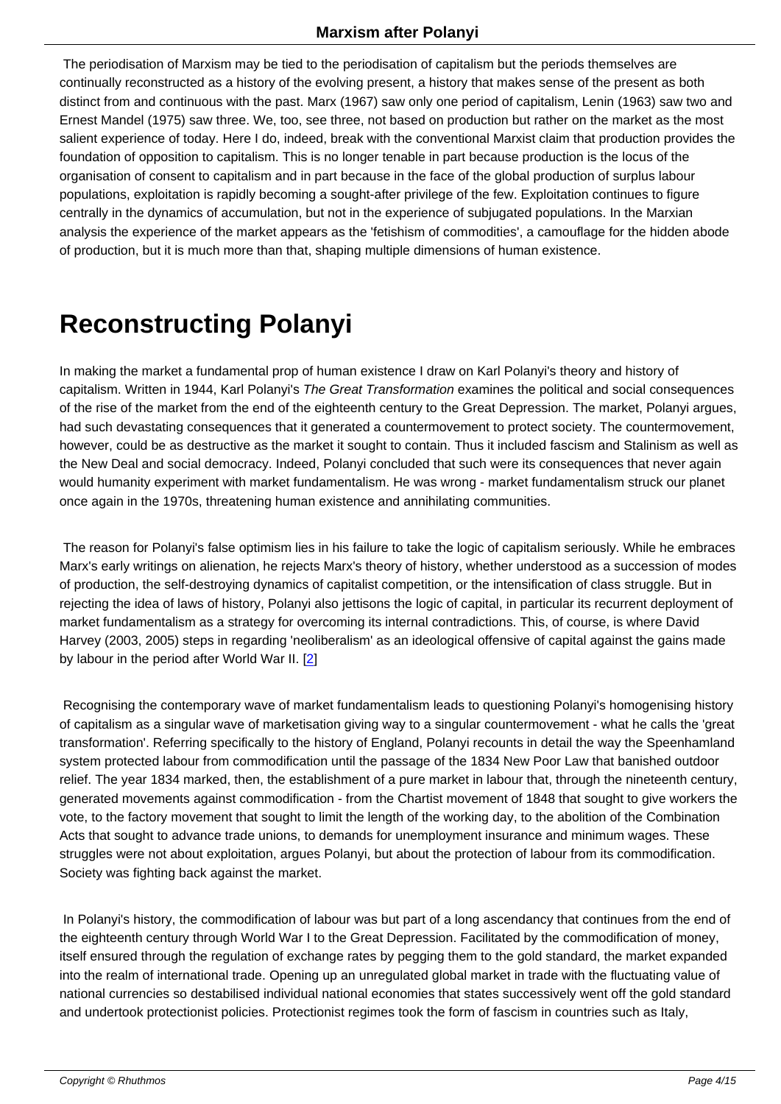The periodisation of Marxism may be tied to the periodisation of capitalism but the periods themselves are continually reconstructed as a history of the evolving present, a history that makes sense of the present as both distinct from and continuous with the past. Marx (1967) saw only one period of capitalism, Lenin (1963) saw two and Ernest Mandel (1975) saw three. We, too, see three, not based on production but rather on the market as the most salient experience of today. Here I do, indeed, break with the conventional Marxist claim that production provides the foundation of opposition to capitalism. This is no longer tenable in part because production is the locus of the organisation of consent to capitalism and in part because in the face of the global production of surplus labour populations, exploitation is rapidly becoming a sought-after privilege of the few. Exploitation continues to figure centrally in the dynamics of accumulation, but not in the experience of subjugated populations. In the Marxian analysis the experience of the market appears as the 'fetishism of commodities', a camouflage for the hidden abode of production, but it is much more than that, shaping multiple dimensions of human existence.

## **Reconstructing Polanyi**

In making the market a fundamental prop of human existence I draw on Karl Polanyi's theory and history of capitalism. Written in 1944, Karl Polanyi's The Great Transformation examines the political and social consequences of the rise of the market from the end of the eighteenth century to the Great Depression. The market, Polanyi argues, had such devastating consequences that it generated a countermovement to protect society. The countermovement, however, could be as destructive as the market it sought to contain. Thus it included fascism and Stalinism as well as the New Deal and social democracy. Indeed, Polanyi concluded that such were its consequences that never again would humanity experiment with market fundamentalism. He was wrong - market fundamentalism struck our planet once again in the 1970s, threatening human existence and annihilating communities.

 The reason for Polanyi's false optimism lies in his failure to take the logic of capitalism seriously. While he embraces Marx's early writings on alienation, he rejects Marx's theory of history, whether understood as a succession of modes of production, the self-destroying dynamics of capitalist competition, or the intensification of class struggle. But in rejecting the idea of laws of history, Polanyi also jettisons the logic of capital, in particular its recurrent deployment of market fundamentalism as a strategy for overcoming its internal contradictions. This, of course, is where David Harvey (2003, 2005) steps in regarding 'neoliberalism' as an ideological offensive of capital against the gains made by labour in the period after World War II. [2]

<span id="page-3-0"></span> Recognising the contemporary wave of market fundamentalism leads to questioning Polanyi's homogenising history of capitalism as a singular wave of marketi[sa](#nb2)tion giving way to a singular countermovement - what he calls the 'great transformation'. Referring specifically to the history of England, Polanyi recounts in detail the way the Speenhamland system protected labour from commodification until the passage of the 1834 New Poor Law that banished outdoor relief. The year 1834 marked, then, the establishment of a pure market in labour that, through the nineteenth century, generated movements against commodification - from the Chartist movement of 1848 that sought to give workers the vote, to the factory movement that sought to limit the length of the working day, to the abolition of the Combination Acts that sought to advance trade unions, to demands for unemployment insurance and minimum wages. These struggles were not about exploitation, argues Polanyi, but about the protection of labour from its commodification. Society was fighting back against the market.

 In Polanyi's history, the commodification of labour was but part of a long ascendancy that continues from the end of the eighteenth century through World War I to the Great Depression. Facilitated by the commodification of money, itself ensured through the regulation of exchange rates by pegging them to the gold standard, the market expanded into the realm of international trade. Opening up an unregulated global market in trade with the fluctuating value of national currencies so destabilised individual national economies that states successively went off the gold standard and undertook protectionist policies. Protectionist regimes took the form of fascism in countries such as Italy,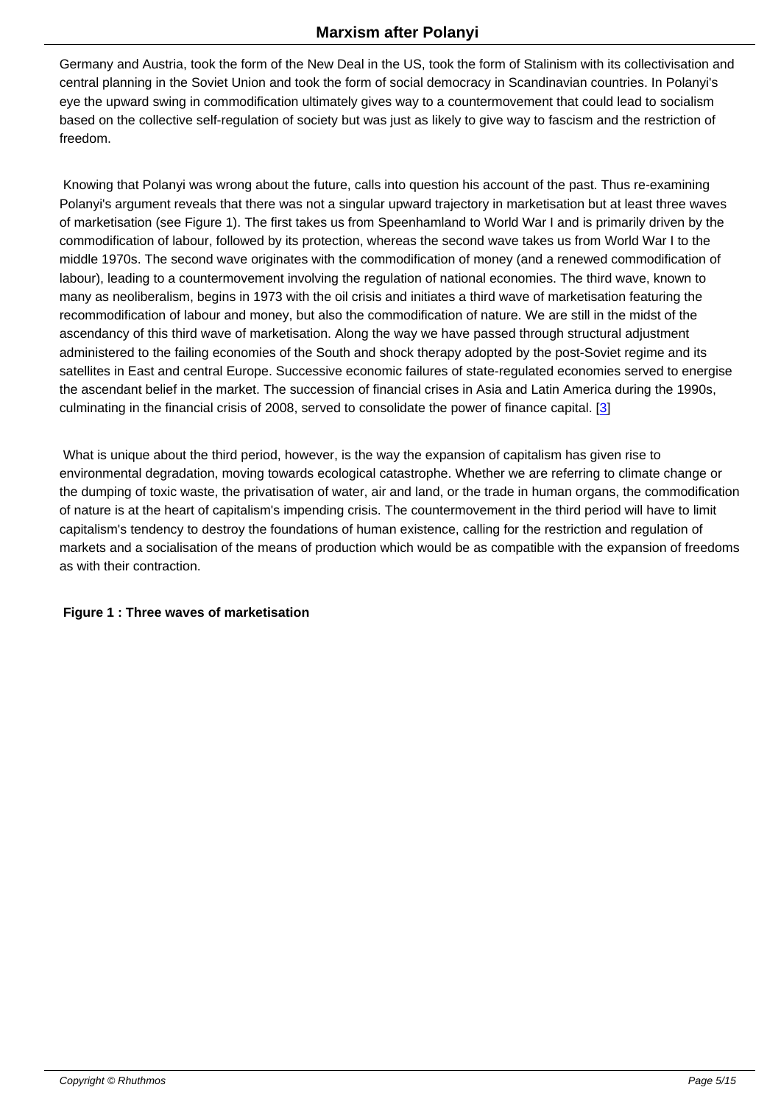Germany and Austria, took the form of the New Deal in the US, took the form of Stalinism with its collectivisation and central planning in the Soviet Union and took the form of social democracy in Scandinavian countries. In Polanyi's eye the upward swing in commodification ultimately gives way to a countermovement that could lead to socialism based on the collective self-regulation of society but was just as likely to give way to fascism and the restriction of freedom.

 Knowing that Polanyi was wrong about the future, calls into question his account of the past. Thus re-examining Polanyi's argument reveals that there was not a singular upward trajectory in marketisation but at least three waves of marketisation (see Figure 1). The first takes us from Speenhamland to World War I and is primarily driven by the commodification of labour, followed by its protection, whereas the second wave takes us from World War I to the middle 1970s. The second wave originates with the commodification of money (and a renewed commodification of labour), leading to a countermovement involving the regulation of national economies. The third wave, known to many as neoliberalism, begins in 1973 with the oil crisis and initiates a third wave of marketisation featuring the recommodification of labour and money, but also the commodification of nature. We are still in the midst of the ascendancy of this third wave of marketisation. Along the way we have passed through structural adjustment administered to the failing economies of the South and shock therapy adopted by the post-Soviet regime and its satellites in East and central Europe. Successive economic failures of state-regulated economies served to energise the ascendant belief in the market. The succession of financial crises in Asia and Latin America during the 1990s, culminating in the financial crisis of 2008, served to consolidate the power of finance capital. [3]

<span id="page-4-0"></span> What is unique about the third period, however, is the way the expansion of capitalism has given rise to environmental degradation, moving towards ecological catastrophe. Whether we are referrin[g t](#nb3)o climate change or the dumping of toxic waste, the privatisation of water, air and land, or the trade in human organs, the commodification of nature is at the heart of capitalism's impending crisis. The countermovement in the third period will have to limit capitalism's tendency to destroy the foundations of human existence, calling for the restriction and regulation of markets and a socialisation of the means of production which would be as compatible with the expansion of freedoms as with their contraction.

### **Figure 1 : Three waves of marketisation**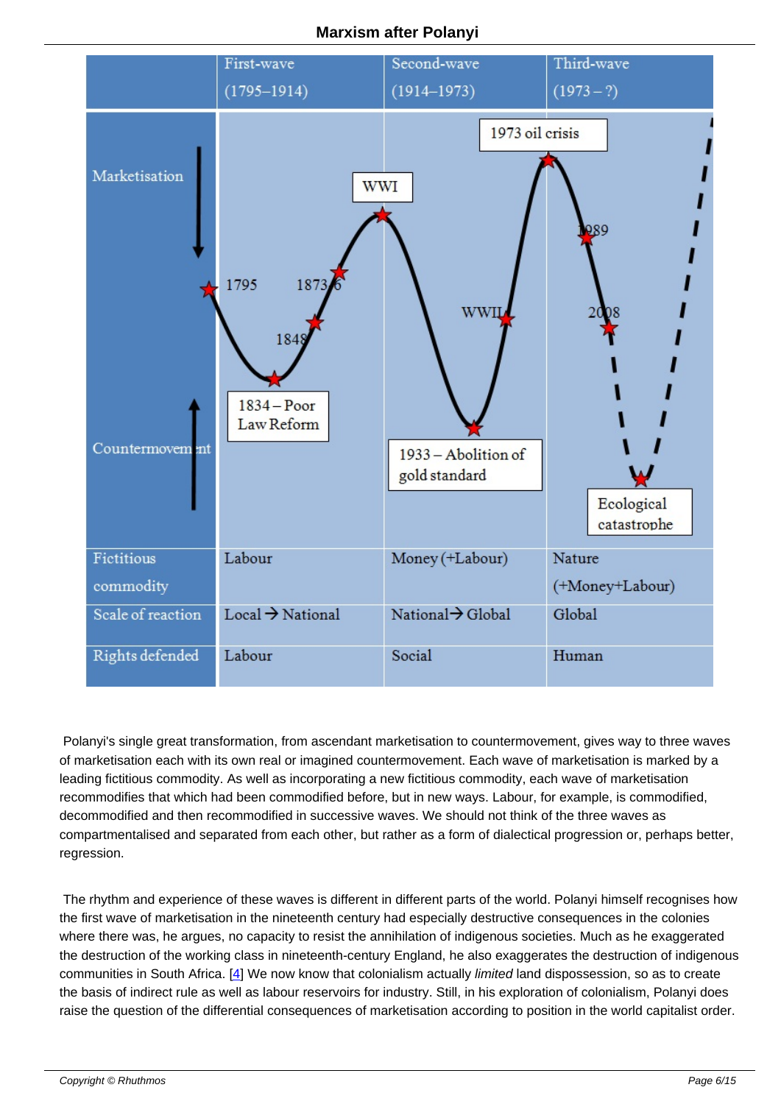

 Polanyi's single great transformation, from ascendant marketisation to countermovement, gives way to three waves of marketisation each with its own real or imagined countermovement. Each wave of marketisation is marked by a leading fictitious commodity. As well as incorporating a new fictitious commodity, each wave of marketisation recommodifies that which had been commodified before, but in new ways. Labour, for example, is commodified, decommodified and then recommodified in successive waves. We should not think of the three waves as compartmentalised and separated from each other, but rather as a form of dialectical progression or, perhaps better, regression.

<span id="page-5-0"></span> The rhythm and experience of these waves is different in different parts of the world. Polanyi himself recognises how the first wave of marketisation in the nineteenth century had especially destructive consequences in the colonies where there was, he argues, no capacity to resist the annihilation of indigenous societies. Much as he exaggerated the destruction of the working class in nineteenth-century England, he also exaggerates the destruction of indigenous communities in South Africa. [4] We now know that colonialism actually limited land dispossession, so as to create the basis of indirect rule as well as labour reservoirs for industry. Still, in his exploration of colonialism, Polanyi does raise the question of the differential consequences of marketisation according to position in the world capitalist order.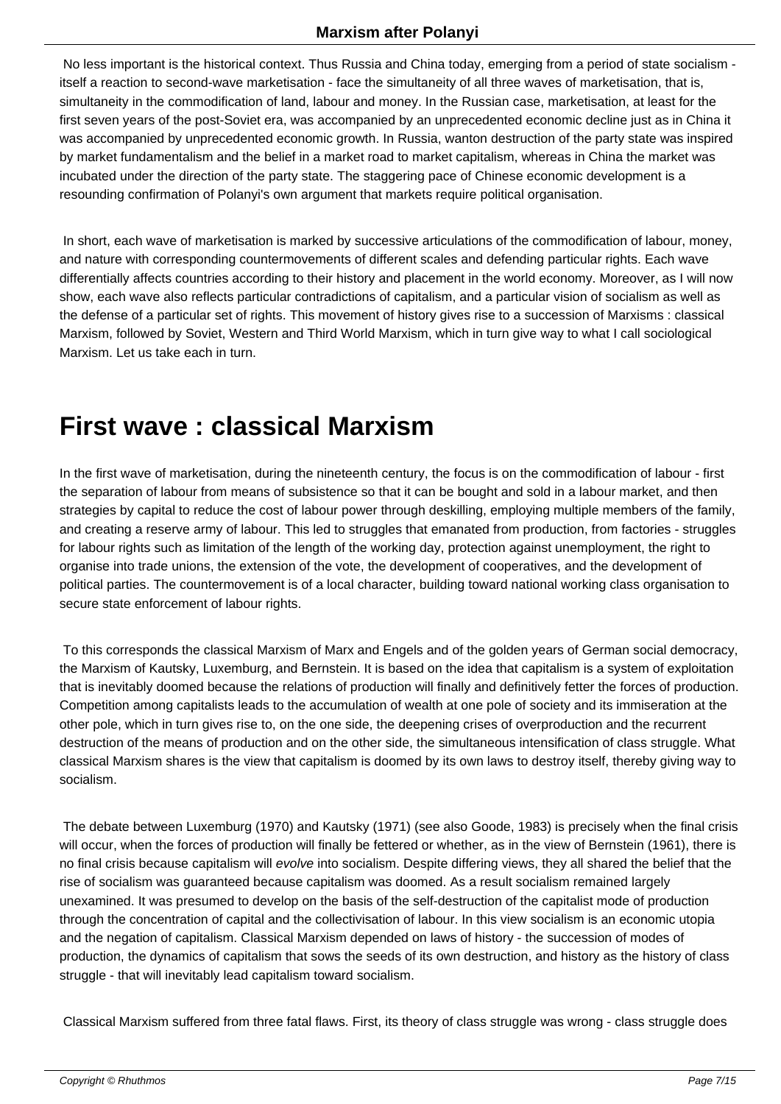No less important is the historical context. Thus Russia and China today, emerging from a period of state socialism itself a reaction to second-wave marketisation - face the simultaneity of all three waves of marketisation, that is, simultaneity in the commodification of land, labour and money. In the Russian case, marketisation, at least for the first seven years of the post-Soviet era, was accompanied by an unprecedented economic decline just as in China it was accompanied by unprecedented economic growth. In Russia, wanton destruction of the party state was inspired by market fundamentalism and the belief in a market road to market capitalism, whereas in China the market was incubated under the direction of the party state. The staggering pace of Chinese economic development is a resounding confirmation of Polanyi's own argument that markets require political organisation.

 In short, each wave of marketisation is marked by successive articulations of the commodification of labour, money, and nature with corresponding countermovements of different scales and defending particular rights. Each wave differentially affects countries according to their history and placement in the world economy. Moreover, as I will now show, each wave also reflects particular contradictions of capitalism, and a particular vision of socialism as well as the defense of a particular set of rights. This movement of history gives rise to a succession of Marxisms : classical Marxism, followed by Soviet, Western and Third World Marxism, which in turn give way to what I call sociological Marxism. Let us take each in turn.

## **First wave : classical Marxism**

In the first wave of marketisation, during the nineteenth century, the focus is on the commodification of labour - first the separation of labour from means of subsistence so that it can be bought and sold in a labour market, and then strategies by capital to reduce the cost of labour power through deskilling, employing multiple members of the family, and creating a reserve army of labour. This led to struggles that emanated from production, from factories - struggles for labour rights such as limitation of the length of the working day, protection against unemployment, the right to organise into trade unions, the extension of the vote, the development of cooperatives, and the development of political parties. The countermovement is of a local character, building toward national working class organisation to secure state enforcement of labour rights.

 To this corresponds the classical Marxism of Marx and Engels and of the golden years of German social democracy, the Marxism of Kautsky, Luxemburg, and Bernstein. It is based on the idea that capitalism is a system of exploitation that is inevitably doomed because the relations of production will finally and definitively fetter the forces of production. Competition among capitalists leads to the accumulation of wealth at one pole of society and its immiseration at the other pole, which in turn gives rise to, on the one side, the deepening crises of overproduction and the recurrent destruction of the means of production and on the other side, the simultaneous intensification of class struggle. What classical Marxism shares is the view that capitalism is doomed by its own laws to destroy itself, thereby giving way to socialism.

 The debate between Luxemburg (1970) and Kautsky (1971) (see also Goode, 1983) is precisely when the final crisis will occur, when the forces of production will finally be fettered or whether, as in the view of Bernstein (1961), there is no final crisis because capitalism will evolve into socialism. Despite differing views, they all shared the belief that the rise of socialism was guaranteed because capitalism was doomed. As a result socialism remained largely unexamined. It was presumed to develop on the basis of the self-destruction of the capitalist mode of production through the concentration of capital and the collectivisation of labour. In this view socialism is an economic utopia and the negation of capitalism. Classical Marxism depended on laws of history - the succession of modes of production, the dynamics of capitalism that sows the seeds of its own destruction, and history as the history of class struggle - that will inevitably lead capitalism toward socialism.

Classical Marxism suffered from three fatal flaws. First, its theory of class struggle was wrong - class struggle does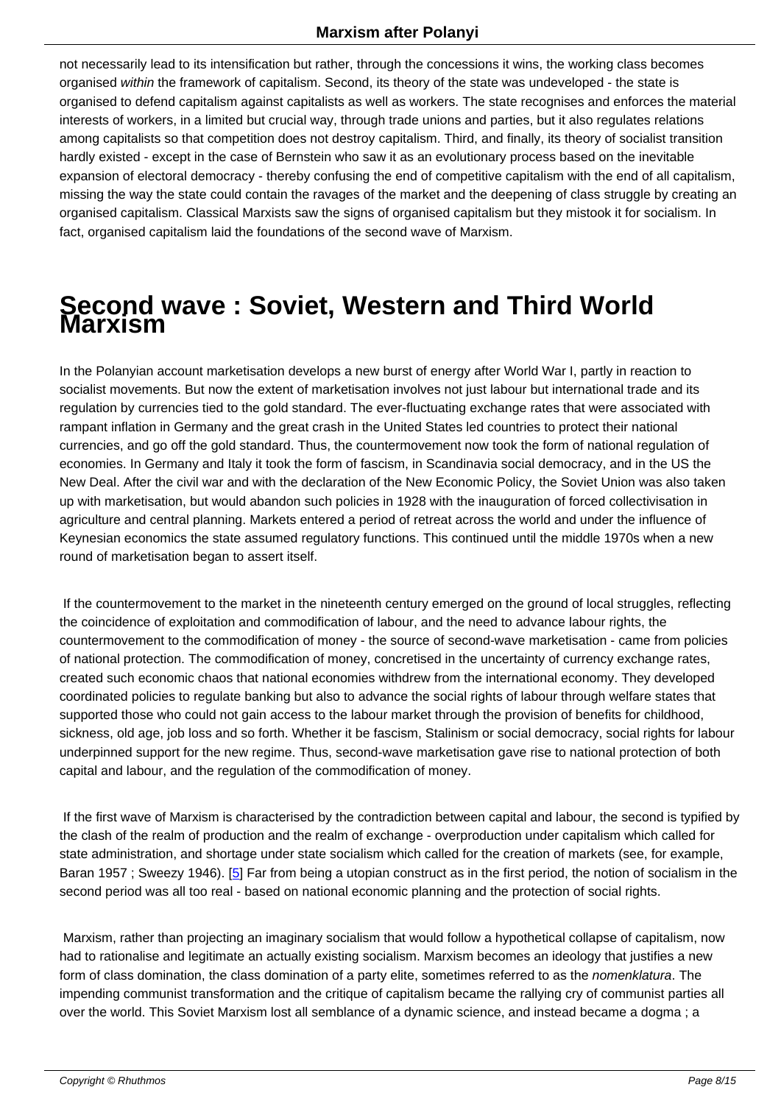not necessarily lead to its intensification but rather, through the concessions it wins, the working class becomes organised within the framework of capitalism. Second, its theory of the state was undeveloped - the state is organised to defend capitalism against capitalists as well as workers. The state recognises and enforces the material interests of workers, in a limited but crucial way, through trade unions and parties, but it also regulates relations among capitalists so that competition does not destroy capitalism. Third, and finally, its theory of socialist transition hardly existed - except in the case of Bernstein who saw it as an evolutionary process based on the inevitable expansion of electoral democracy - thereby confusing the end of competitive capitalism with the end of all capitalism, missing the way the state could contain the ravages of the market and the deepening of class struggle by creating an organised capitalism. Classical Marxists saw the signs of organised capitalism but they mistook it for socialism. In fact, organised capitalism laid the foundations of the second wave of Marxism.

# **Second wave : Soviet, Western and Third World Marxism**

In the Polanyian account marketisation develops a new burst of energy after World War I, partly in reaction to socialist movements. But now the extent of marketisation involves not just labour but international trade and its regulation by currencies tied to the gold standard. The ever-fluctuating exchange rates that were associated with rampant inflation in Germany and the great crash in the United States led countries to protect their national currencies, and go off the gold standard. Thus, the countermovement now took the form of national regulation of economies. In Germany and Italy it took the form of fascism, in Scandinavia social democracy, and in the US the New Deal. After the civil war and with the declaration of the New Economic Policy, the Soviet Union was also taken up with marketisation, but would abandon such policies in 1928 with the inauguration of forced collectivisation in agriculture and central planning. Markets entered a period of retreat across the world and under the influence of Keynesian economics the state assumed regulatory functions. This continued until the middle 1970s when a new round of marketisation began to assert itself.

 If the countermovement to the market in the nineteenth century emerged on the ground of local struggles, reflecting the coincidence of exploitation and commodification of labour, and the need to advance labour rights, the countermovement to the commodification of money - the source of second-wave marketisation - came from policies of national protection. The commodification of money, concretised in the uncertainty of currency exchange rates, created such economic chaos that national economies withdrew from the international economy. They developed coordinated policies to regulate banking but also to advance the social rights of labour through welfare states that supported those who could not gain access to the labour market through the provision of benefits for childhood, sickness, old age, job loss and so forth. Whether it be fascism, Stalinism or social democracy, social rights for labour underpinned support for the new regime. Thus, second-wave marketisation gave rise to national protection of both capital and labour, and the regulation of the commodification of money.

 If the first wave of Marxism is characterised by the contradiction between capital and labour, the second is typified by the clash of the realm of production and the realm of exchange - overproduction under capitalism which called for state administration, and shortage under state socialism which called for the creation of markets (see, for example, Baran 1957; Sweezy 1946). [5] Far from being a utopian construct as in the first period, the notion of socialism in the second period was all too real - based on national economic planning and the protection of social rights.

 Marxism, rather than projecti[ng](#nb5) an imaginary socialism that would follow a hypothetical collapse of capitalism, now had to rationalise and legitimate an actually existing socialism. Marxism becomes an ideology that justifies a new form of class domination, the class domination of a party elite, sometimes referred to as the *nomenklatura*. The impending communist transformation and the critique of capitalism became the rallying cry of communist parties all over the world. This Soviet Marxism lost all semblance of a dynamic science, and instead became a dogma ; a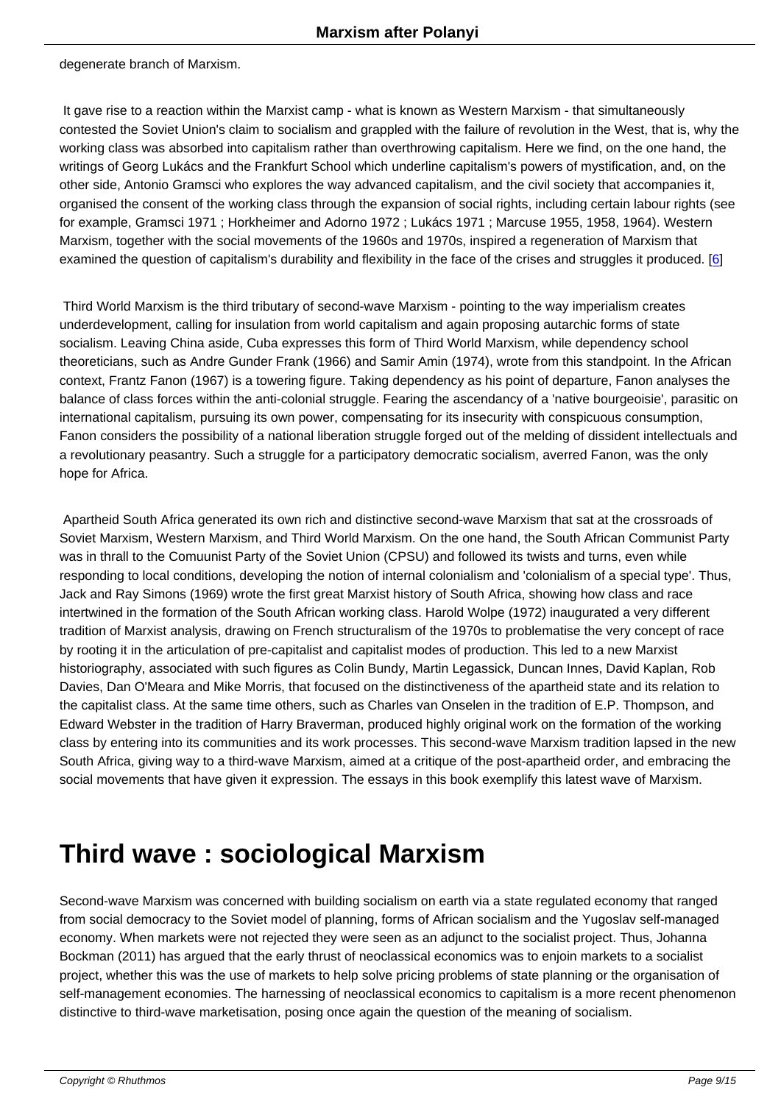degenerate branch of Marxism.

 It gave rise to a reaction within the Marxist camp - what is known as Western Marxism - that simultaneously contested the Soviet Union's claim to socialism and grappled with the failure of revolution in the West, that is, why the working class was absorbed into capitalism rather than overthrowing capitalism. Here we find, on the one hand, the writings of Georg Lukács and the Frankfurt School which underline capitalism's powers of mystification, and, on the other side, Antonio Gramsci who explores the way advanced capitalism, and the civil society that accompanies it, organised the consent of the working class through the expansion of social rights, including certain labour rights (see for example, Gramsci 1971 ; Horkheimer and Adorno 1972 ; Lukács 1971 ; Marcuse 1955, 1958, 1964). Western Marxism, together with the social movements of the 1960s and 1970s, inspired a regeneration of Marxism that examined the question of capitalism's durability and flexibility in the face of the crises and struggles it produced. [6]

 Third World Marxism is the third tributary of second-wave Marxism - pointing to the way imperialism creates underdevelopment, calling for insulation from world capitalism and again proposing autarchic forms of state socialism. Leaving China aside, Cuba expresses this form of Third World Marxism, while dependency school theoreticians, such as Andre Gunder Frank (1966) and Samir Amin (1974), wrote from this standpoint. In the African context, Frantz Fanon (1967) is a towering figure. Taking dependency as his point of departure, Fanon analyses the balance of class forces within the anti-colonial struggle. Fearing the ascendancy of a 'native bourgeoisie', parasitic on international capitalism, pursuing its own power, compensating for its insecurity with conspicuous consumption, Fanon considers the possibility of a national liberation struggle forged out of the melding of dissident intellectuals and a revolutionary peasantry. Such a struggle for a participatory democratic socialism, averred Fanon, was the only hope for Africa.

 Apartheid South Africa generated its own rich and distinctive second-wave Marxism that sat at the crossroads of Soviet Marxism, Western Marxism, and Third World Marxism. On the one hand, the South African Communist Party was in thrall to the Comuunist Party of the Soviet Union (CPSU) and followed its twists and turns, even while responding to local conditions, developing the notion of internal colonialism and 'colonialism of a special type'. Thus, Jack and Ray Simons (1969) wrote the first great Marxist history of South Africa, showing how class and race intertwined in the formation of the South African working class. Harold Wolpe (1972) inaugurated a very different tradition of Marxist analysis, drawing on French structuralism of the 1970s to problematise the very concept of race by rooting it in the articulation of pre-capitalist and capitalist modes of production. This led to a new Marxist historiography, associated with such figures as Colin Bundy, Martin Legassick, Duncan Innes, David Kaplan, Rob Davies, Dan O'Meara and Mike Morris, that focused on the distinctiveness of the apartheid state and its relation to the capitalist class. At the same time others, such as Charles van Onselen in the tradition of E.P. Thompson, and Edward Webster in the tradition of Harry Braverman, produced highly original work on the formation of the working class by entering into its communities and its work processes. This second-wave Marxism tradition lapsed in the new South Africa, giving way to a third-wave Marxism, aimed at a critique of the post-apartheid order, and embracing the social movements that have given it expression. The essays in this book exemplify this latest wave of Marxism.

### **Third wave : sociological Marxism**

Second-wave Marxism was concerned with building socialism on earth via a state regulated economy that ranged from social democracy to the Soviet model of planning, forms of African socialism and the Yugoslav self-managed economy. When markets were not rejected they were seen as an adjunct to the socialist project. Thus, Johanna Bockman (2011) has argued that the early thrust of neoclassical economics was to enjoin markets to a socialist project, whether this was the use of markets to help solve pricing problems of state planning or the organisation of self-management economies. The harnessing of neoclassical economics to capitalism is a more recent phenomenon distinctive to third-wave marketisation, posing once again the question of the meaning of socialism.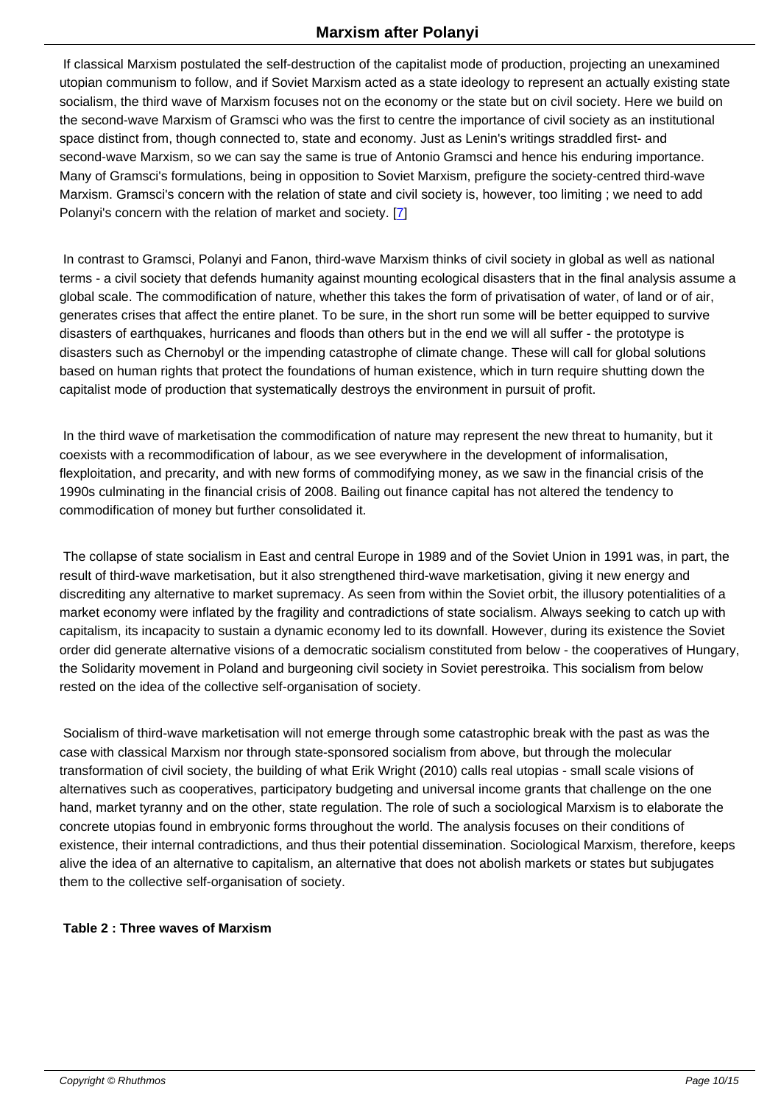If classical Marxism postulated the self-destruction of the capitalist mode of production, projecting an unexamined utopian communism to follow, and if Soviet Marxism acted as a state ideology to represent an actually existing state socialism, the third wave of Marxism focuses not on the economy or the state but on civil society. Here we build on the second-wave Marxism of Gramsci who was the first to centre the importance of civil society as an institutional space distinct from, though connected to, state and economy. Just as Lenin's writings straddled first- and second-wave Marxism, so we can say the same is true of Antonio Gramsci and hence his enduring importance. Many of Gramsci's formulations, being in opposition to Soviet Marxism, prefigure the society-centred third-wave Marxism. Gramsci's concern with the relation of state and civil society is, however, too limiting ; we need to add Polanyi's concern with the relation of market and society. [7]

<span id="page-9-0"></span> In contrast to Gramsci, Polanyi and Fanon, third-wave Marxism thinks of civil society in global as well as national terms - a civil society that defends humanity against mou[ntin](#nb7)g ecological disasters that in the final analysis assume a global scale. The commodification of nature, whether this takes the form of privatisation of water, of land or of air, generates crises that affect the entire planet. To be sure, in the short run some will be better equipped to survive disasters of earthquakes, hurricanes and floods than others but in the end we will all suffer - the prototype is disasters such as Chernobyl or the impending catastrophe of climate change. These will call for global solutions based on human rights that protect the foundations of human existence, which in turn require shutting down the capitalist mode of production that systematically destroys the environment in pursuit of profit.

 In the third wave of marketisation the commodification of nature may represent the new threat to humanity, but it coexists with a recommodification of labour, as we see everywhere in the development of informalisation, flexploitation, and precarity, and with new forms of commodifying money, as we saw in the financial crisis of the 1990s culminating in the financial crisis of 2008. Bailing out finance capital has not altered the tendency to commodification of money but further consolidated it.

 The collapse of state socialism in East and central Europe in 1989 and of the Soviet Union in 1991 was, in part, the result of third-wave marketisation, but it also strengthened third-wave marketisation, giving it new energy and discrediting any alternative to market supremacy. As seen from within the Soviet orbit, the illusory potentialities of a market economy were inflated by the fragility and contradictions of state socialism. Always seeking to catch up with capitalism, its incapacity to sustain a dynamic economy led to its downfall. However, during its existence the Soviet order did generate alternative visions of a democratic socialism constituted from below - the cooperatives of Hungary, the Solidarity movement in Poland and burgeoning civil society in Soviet perestroika. This socialism from below rested on the idea of the collective self-organisation of society.

 Socialism of third-wave marketisation will not emerge through some catastrophic break with the past as was the case with classical Marxism nor through state-sponsored socialism from above, but through the molecular transformation of civil society, the building of what Erik Wright (2010) calls real utopias - small scale visions of alternatives such as cooperatives, participatory budgeting and universal income grants that challenge on the one hand, market tyranny and on the other, state regulation. The role of such a sociological Marxism is to elaborate the concrete utopias found in embryonic forms throughout the world. The analysis focuses on their conditions of existence, their internal contradictions, and thus their potential dissemination. Sociological Marxism, therefore, keeps alive the idea of an alternative to capitalism, an alternative that does not abolish markets or states but subjugates them to the collective self-organisation of society.

### **Table 2 : Three waves of Marxism**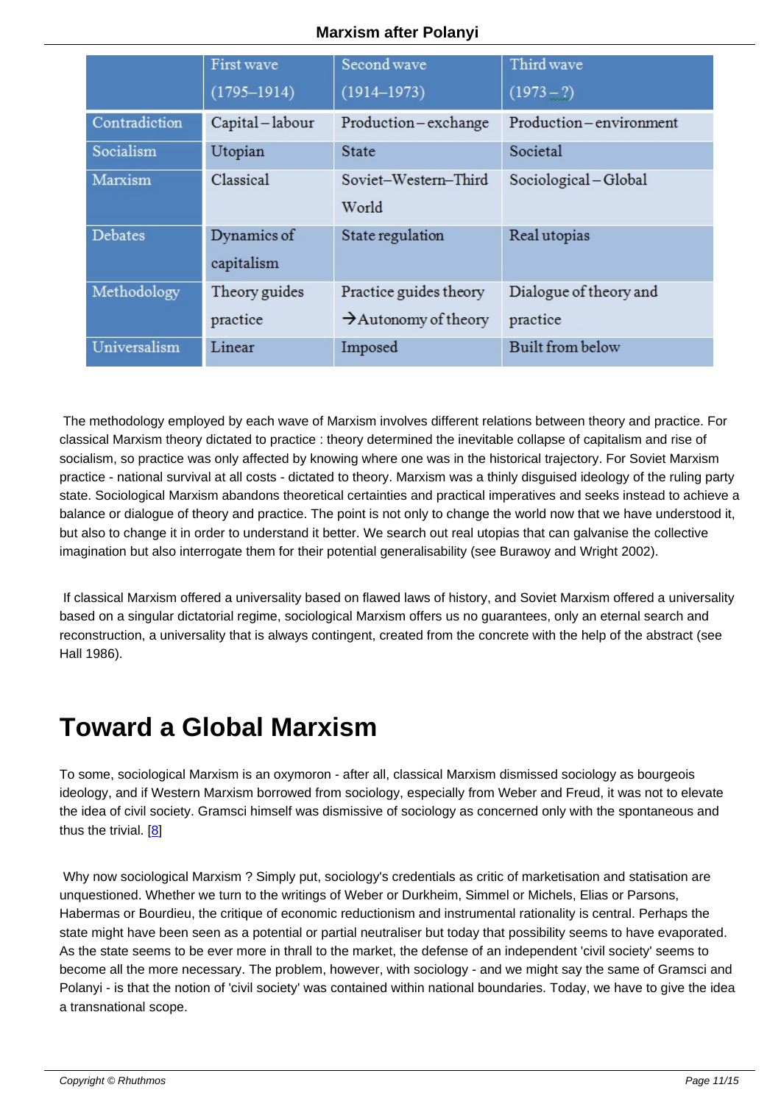|               | 1 list wavt               | <b>BUUDIU WAVU</b>               | THIIU WAVU             |
|---------------|---------------------------|----------------------------------|------------------------|
|               | $(1795 - 1914)$           | $(1914 - 1973)$                  | $(1973 - ?)$           |
| Contradiction | Capital-labour            | Production-exchange              | Production-environment |
| Socialism     | Utopian                   | State                            | Societal               |
| Marxism       | Classical                 | Soviet-Western-Third<br>World    | Sociological-Global    |
| Debates       | Dynamics of<br>capitalism | State regulation                 | Real utopias           |
| Methodology   | Theory guides             | Practice guides theory           | Dialogue of theory and |
|               | practice                  | $\rightarrow$ Autonomy of theory | practice               |
| Universalism  | Linear                    | Imposed                          | Built from below       |

 The methodology employed by each wave of Marxism involves different relations between theory and practice. For classical Marxism theory dictated to practice : theory determined the inevitable collapse of capitalism and rise of socialism, so practice was only affected by knowing where one was in the historical trajectory. For Soviet Marxism practice - national survival at all costs - dictated to theory. Marxism was a thinly disguised ideology of the ruling party state. Sociological Marxism abandons theoretical certainties and practical imperatives and seeks instead to achieve a balance or dialogue of theory and practice. The point is not only to change the world now that we have understood it, but also to change it in order to understand it better. We search out real utopias that can galvanise the collective imagination but also interrogate them for their potential generalisability (see Burawoy and Wright 2002).

 If classical Marxism offered a universality based on flawed laws of history, and Soviet Marxism offered a universality based on a singular dictatorial regime, sociological Marxism offers us no guarantees, only an eternal search and reconstruction, a universality that is always contingent, created from the concrete with the help of the abstract (see Hall 1986).

### **Toward a Global Marxism**

To some, sociological Marxism is an oxymoron - after all, classical Marxism dismissed sociology as bourgeois ideology, and if Western Marxism borrowed from sociology, especially from Weber and Freud, it was not to elevate the idea of civil society. Gramsci himself was dismissive of sociology as concerned only with the spontaneous and thus the trivial. [8]

 Why now sociological Marxism ? Simply put, sociology's credentials as critic of marketisation and statisation are unquestioned. [Wh](#nb8)ether we turn to the writings of Weber or Durkheim, Simmel or Michels, Elias or Parsons, Habermas or Bourdieu, the critique of economic reductionism and instrumental rationality is central. Perhaps the state might have been seen as a potential or partial neutraliser but today that possibility seems to have evaporated. As the state seems to be ever more in thrall to the market, the defense of an independent 'civil society' seems to become all the more necessary. The problem, however, with sociology - and we might say the same of Gramsci and Polanyi - is that the notion of 'civil society' was contained within national boundaries. Today, we have to give the idea a transnational scope.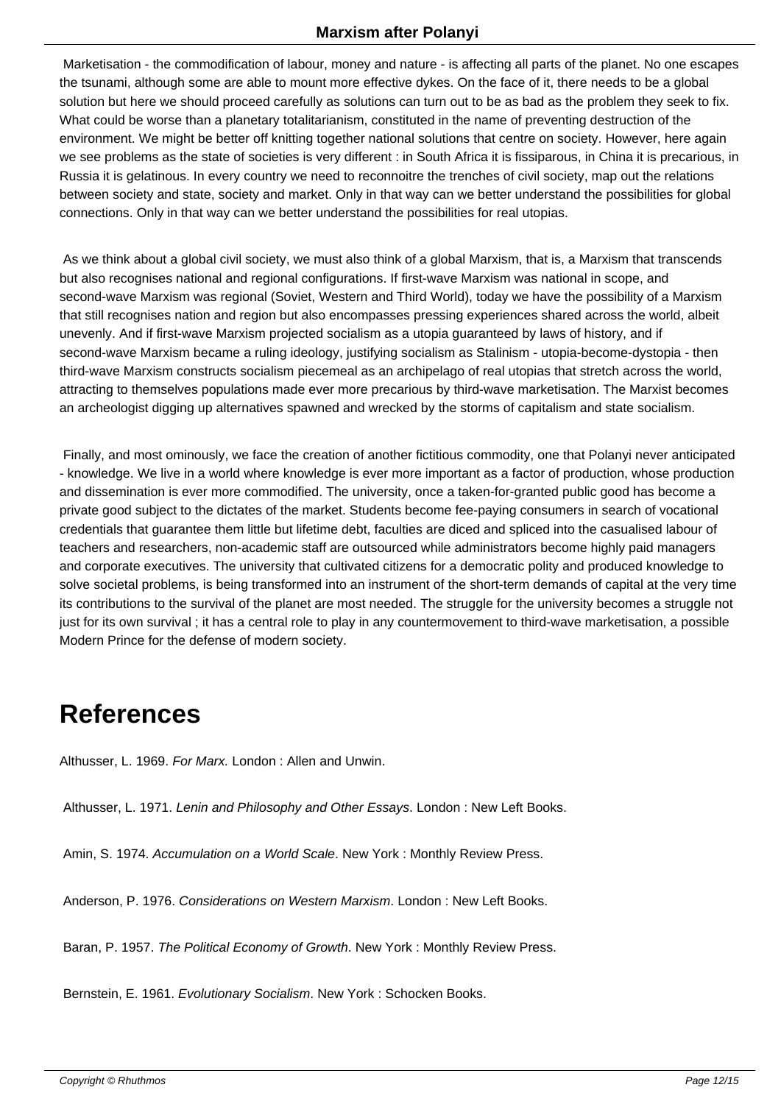Marketisation - the commodification of labour, money and nature - is affecting all parts of the planet. No one escapes the tsunami, although some are able to mount more effective dykes. On the face of it, there needs to be a global solution but here we should proceed carefully as solutions can turn out to be as bad as the problem they seek to fix. What could be worse than a planetary totalitarianism, constituted in the name of preventing destruction of the environment. We might be better off knitting together national solutions that centre on society. However, here again we see problems as the state of societies is very different : in South Africa it is fissiparous, in China it is precarious, in Russia it is gelatinous. In every country we need to reconnoitre the trenches of civil society, map out the relations between society and state, society and market. Only in that way can we better understand the possibilities for global connections. Only in that way can we better understand the possibilities for real utopias.

 As we think about a global civil society, we must also think of a global Marxism, that is, a Marxism that transcends but also recognises national and regional configurations. If first-wave Marxism was national in scope, and second-wave Marxism was regional (Soviet, Western and Third World), today we have the possibility of a Marxism that still recognises nation and region but also encompasses pressing experiences shared across the world, albeit unevenly. And if first-wave Marxism projected socialism as a utopia guaranteed by laws of history, and if second-wave Marxism became a ruling ideology, justifying socialism as Stalinism - utopia-become-dystopia - then third-wave Marxism constructs socialism piecemeal as an archipelago of real utopias that stretch across the world, attracting to themselves populations made ever more precarious by third-wave marketisation. The Marxist becomes an archeologist digging up alternatives spawned and wrecked by the storms of capitalism and state socialism.

 Finally, and most ominously, we face the creation of another fictitious commodity, one that Polanyi never anticipated - knowledge. We live in a world where knowledge is ever more important as a factor of production, whose production and dissemination is ever more commodified. The university, once a taken-for-granted public good has become a private good subject to the dictates of the market. Students become fee-paying consumers in search of vocational credentials that guarantee them little but lifetime debt, faculties are diced and spliced into the casualised labour of teachers and researchers, non-academic staff are outsourced while administrators become highly paid managers and corporate executives. The university that cultivated citizens for a democratic polity and produced knowledge to solve societal problems, is being transformed into an instrument of the short-term demands of capital at the very time its contributions to the survival of the planet are most needed. The struggle for the university becomes a struggle not just for its own survival ; it has a central role to play in any countermovement to third-wave marketisation, a possible Modern Prince for the defense of modern society.

### **References**

Althusser, L. 1969. For Marx. London : Allen and Unwin.

Althusser, L. 1971. Lenin and Philosophy and Other Essays. London : New Left Books.

Amin, S. 1974. Accumulation on a World Scale. New York : Monthly Review Press.

Anderson, P. 1976. Considerations on Western Marxism. London : New Left Books.

Baran, P. 1957. The Political Economy of Growth. New York : Monthly Review Press.

Bernstein, E. 1961. Evolutionary Socialism. New York: Schocken Books.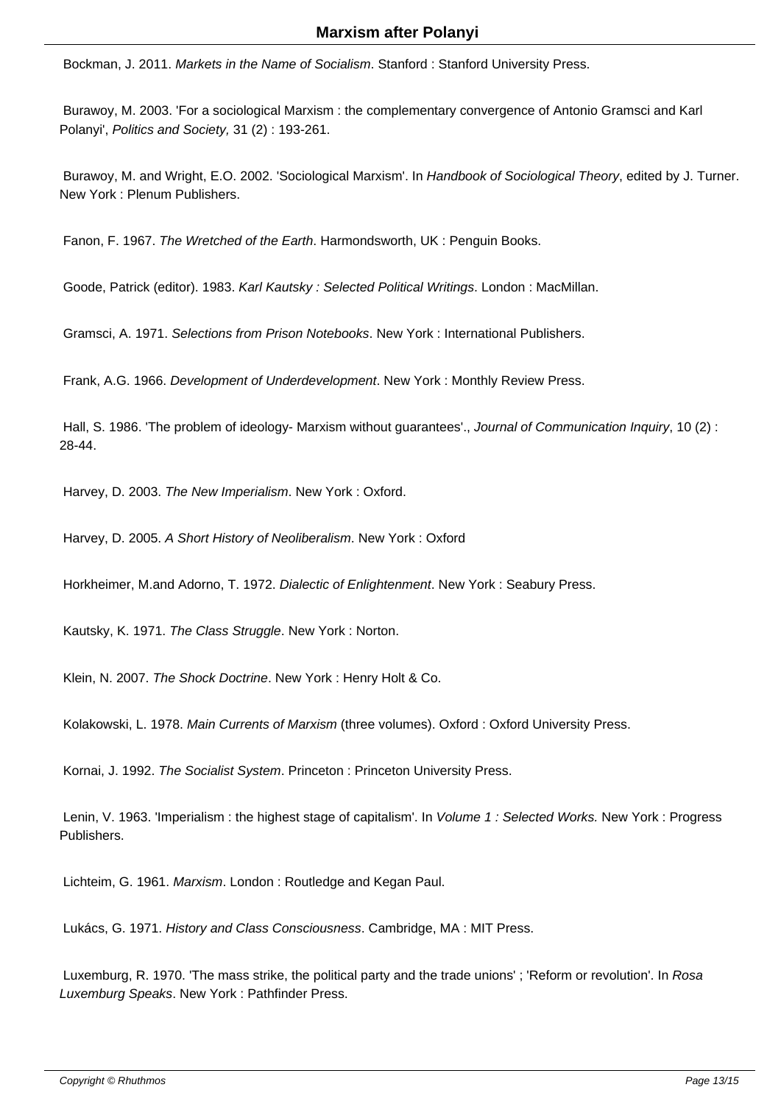Bockman, J. 2011. Markets in the Name of Socialism. Stanford : Stanford University Press.

 Burawoy, M. 2003. 'For a sociological Marxism : the complementary convergence of Antonio Gramsci and Karl Polanyi', Politics and Society, 31 (2) : 193-261.

Burawoy, M. and Wright, E.O. 2002. 'Sociological Marxism'. In Handbook of Sociological Theory, edited by J. Turner. New York : Plenum Publishers.

Fanon, F. 1967. The Wretched of the Earth. Harmondsworth, UK : Penguin Books.

Goode, Patrick (editor). 1983. Karl Kautsky : Selected Political Writings. London : MacMillan.

Gramsci, A. 1971. Selections from Prison Notebooks. New York : International Publishers.

Frank, A.G. 1966. Development of Underdevelopment. New York : Monthly Review Press.

Hall, S. 1986. 'The problem of ideology- Marxism without guarantees'., Journal of Communication Inquiry, 10 (2) : 28-44.

Harvey, D. 2003. The New Imperialism. New York : Oxford.

Harvey, D. 2005. A Short History of Neoliberalism. New York : Oxford

Horkheimer, M.and Adorno, T. 1972. Dialectic of Enlightenment. New York : Seabury Press.

Kautsky, K. 1971. The Class Struggle. New York : Norton.

Klein, N. 2007. The Shock Doctrine. New York : Henry Holt & Co.

Kolakowski, L. 1978. Main Currents of Marxism (three volumes). Oxford : Oxford University Press.

Kornai, J. 1992. The Socialist System. Princeton : Princeton University Press.

 Lenin, V. 1963. 'Imperialism : the highest stage of capitalism'. In Volume 1 : Selected Works. New York : Progress Publishers.

Lichteim, G. 1961. Marxism. London : Routledge and Kegan Paul.

Lukács, G. 1971. History and Class Consciousness. Cambridge, MA : MIT Press.

 Luxemburg, R. 1970. 'The mass strike, the political party and the trade unions' ; 'Reform or revolution'. In Rosa Luxemburg Speaks. New York : Pathfinder Press.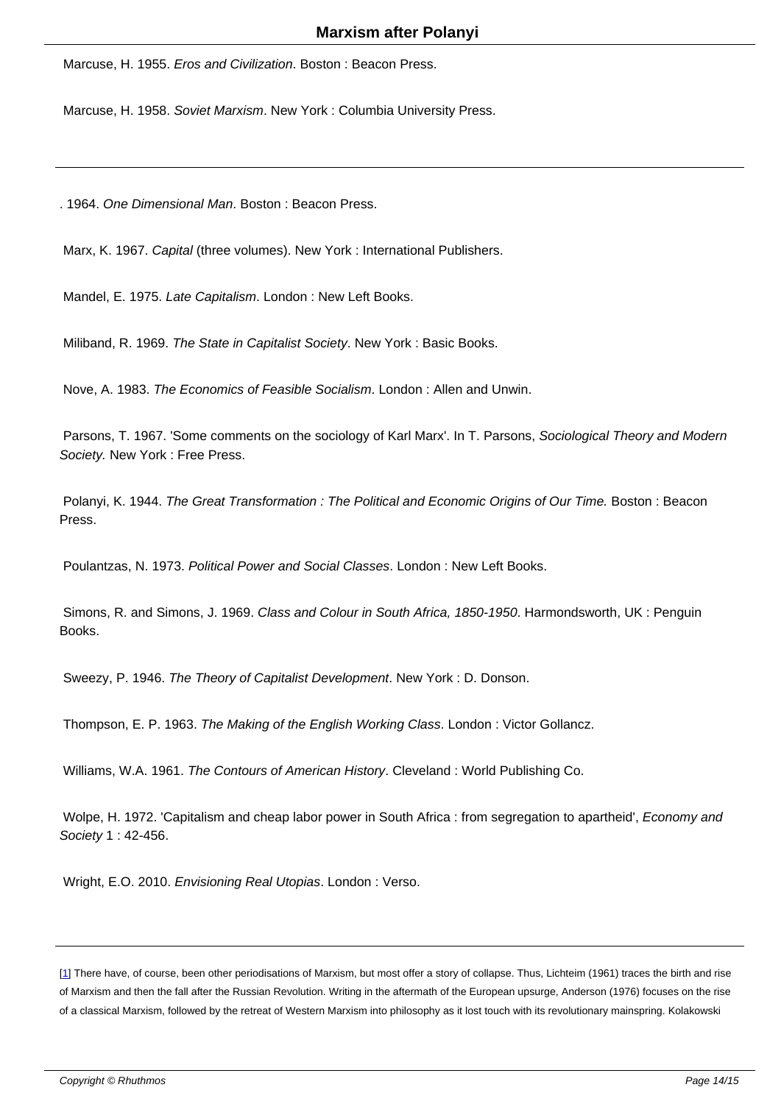Marcuse, H. 1955. Eros and Civilization. Boston : Beacon Press.

Marcuse, H. 1958. Soviet Marxism. New York : Columbia University Press.

. 1964. One Dimensional Man. Boston : Beacon Press.

Marx, K. 1967. Capital (three volumes). New York : International Publishers.

Mandel, E. 1975. Late Capitalism. London : New Left Books.

Miliband, R. 1969. The State in Capitalist Society. New York : Basic Books.

Nove, A. 1983. The Economics of Feasible Socialism. London : Allen and Unwin.

Parsons, T. 1967. 'Some comments on the sociology of Karl Marx'. In T. Parsons, Sociological Theory and Modern Society. New York : Free Press.

 Polanyi, K. 1944. The Great Transformation : The Political and Economic Origins of Our Time. Boston : Beacon Press.

Poulantzas, N. 1973. Political Power and Social Classes. London : New Left Books.

 Simons, R. and Simons, J. 1969. Class and Colour in South Africa, 1850-1950. Harmondsworth, UK : Penguin Books.

Sweezy, P. 1946. The Theory of Capitalist Development. New York : D. Donson.

Thompson, E. P. 1963. The Making of the English Working Class. London : Victor Gollancz.

Williams, W.A. 1961. The Contours of American History. Cleveland : World Publishing Co.

Wolpe, H. 1972. 'Capitalism and cheap labor power in South Africa : from segregation to apartheid', *Economy and* Society 1 : 42-456.

Wright, E.O. 2010. Envisioning Real Utopias. London : Verso.

<span id="page-13-0"></span>[1] There have, of course, been other periodisations of Marxism, but most offer a story of collapse. Thus, Lichteim (1961) traces the birth and rise of Marxism and then the fall after the Russian Revolution. Writing in the aftermath of the European upsurge, Anderson (1976) focuses on the rise of a classical Marxism, followed by the retreat of Western Marxism into philosophy as it lost touch with its revolutionary mainspring. Kolakowski